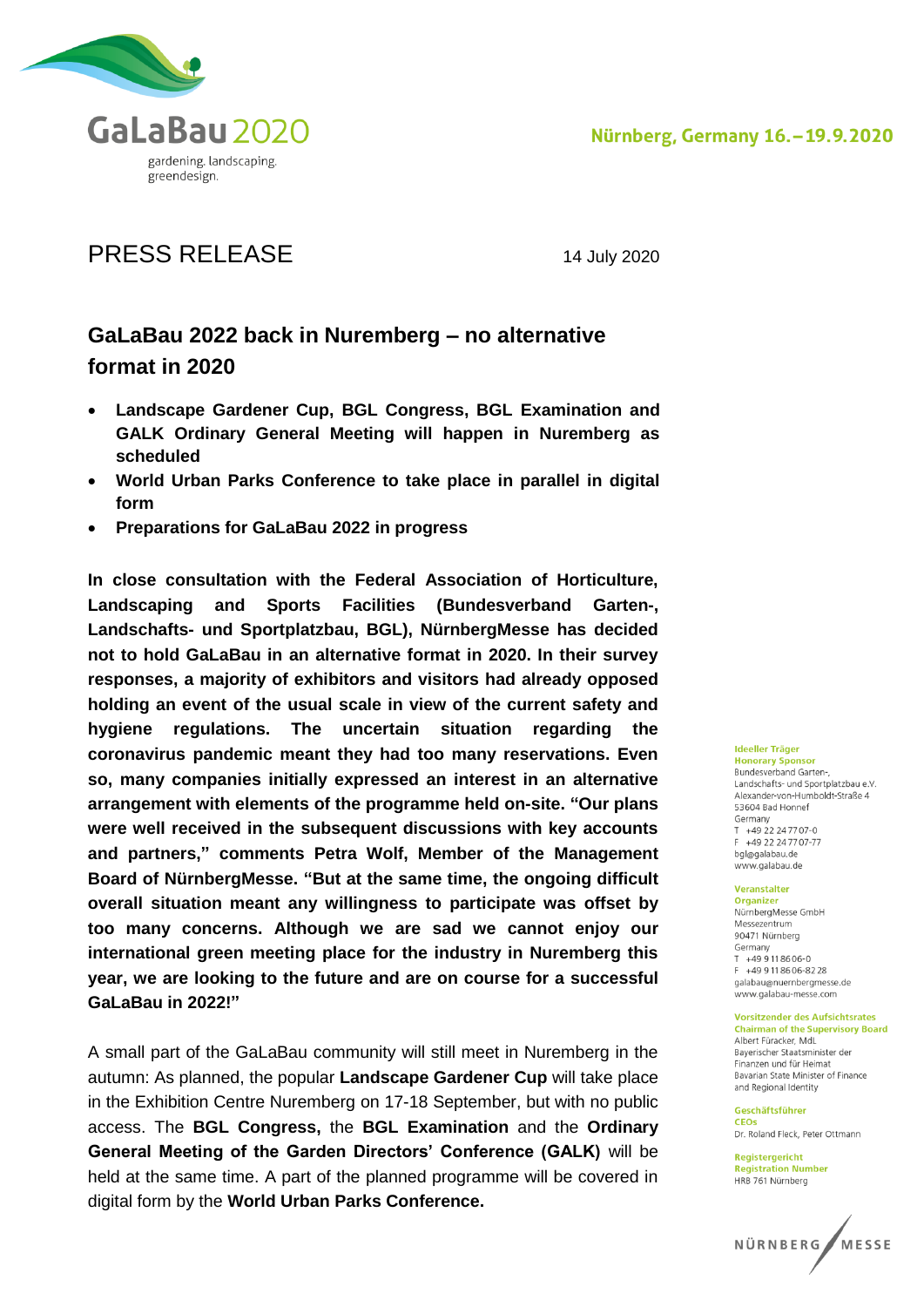

# PRESS RELEASE 14 July 2020

# **GaLaBau 2022 back in Nuremberg – no alternative format in 2020**

- **Landscape Gardener Cup, BGL Congress, BGL Examination and GALK Ordinary General Meeting will happen in Nuremberg as scheduled**
- **World Urban Parks Conference to take place in parallel in digital form**
- **Preparations for GaLaBau 2022 in progress**

**In close consultation with the Federal Association of Horticulture, Landscaping and Sports Facilities (Bundesverband Garten-, Landschafts- und Sportplatzbau, BGL), NürnbergMesse has decided not to hold GaLaBau in an alternative format in 2020. In their survey responses, a majority of exhibitors and visitors had already opposed holding an event of the usual scale in view of the current safety and hygiene regulations. The uncertain situation regarding the coronavirus pandemic meant they had too many reservations. Even so, many companies initially expressed an interest in an alternative arrangement with elements of the programme held on-site. "Our plans were well received in the subsequent discussions with key accounts and partners," comments Petra Wolf, Member of the Management Board of NürnbergMesse. "But at the same time, the ongoing difficult overall situation meant any willingness to participate was offset by too many concerns. Although we are sad we cannot enjoy our international green meeting place for the industry in Nuremberg this year, we are looking to the future and are on course for a successful GaLaBau in 2022!"**

A small part of the GaLaBau community will still meet in Nuremberg in the autumn: As planned, the popular **Landscape Gardener Cup** will take place in the Exhibition Centre Nuremberg on 17-18 September, but with no public access. The **BGL Congress,** the **BGL Examination** and the **Ordinary General Meeting of the Garden Directors' Conference (GALK)** will be held at the same time. A part of the planned programme will be covered in digital form by the **World Urban Parks Conference.**

## **Ideeller Träger**

**Honorary Sponsor**<br>Bundesverband Garten-, Landschafts- und Sportplatzbau e.V. Alexander-von-Humholdt-Straße 4 53604 Bad Honnef Germany  $T + 49.22.24.7707 - 0$  $F + 4922247707-77$ bgl@galabau.de www.galabau.de

#### Veranstalter **Organizer**

NürnbergMesse GmbH Messezentrum 90471 Nürnberg Germany  $T + 499118606 - 0$ E +49 9 11 8606-8228 galabau@nuernbergmesse.de www.galabau-messe.com

#### **Vorsitzender des Aufsichtsrates**

**Chairman of the Supervisory Board** Albert Füracker, MdL Baverischer Staatsminister der Finanzen und für Heimat Bavarian State Minister of Finance and Regional Identity

Geschäftsführer CEOS Dr. Roland Fleck, Peter Ottmann

Registergericht **Registration Number** HRB 761 Nürnberg

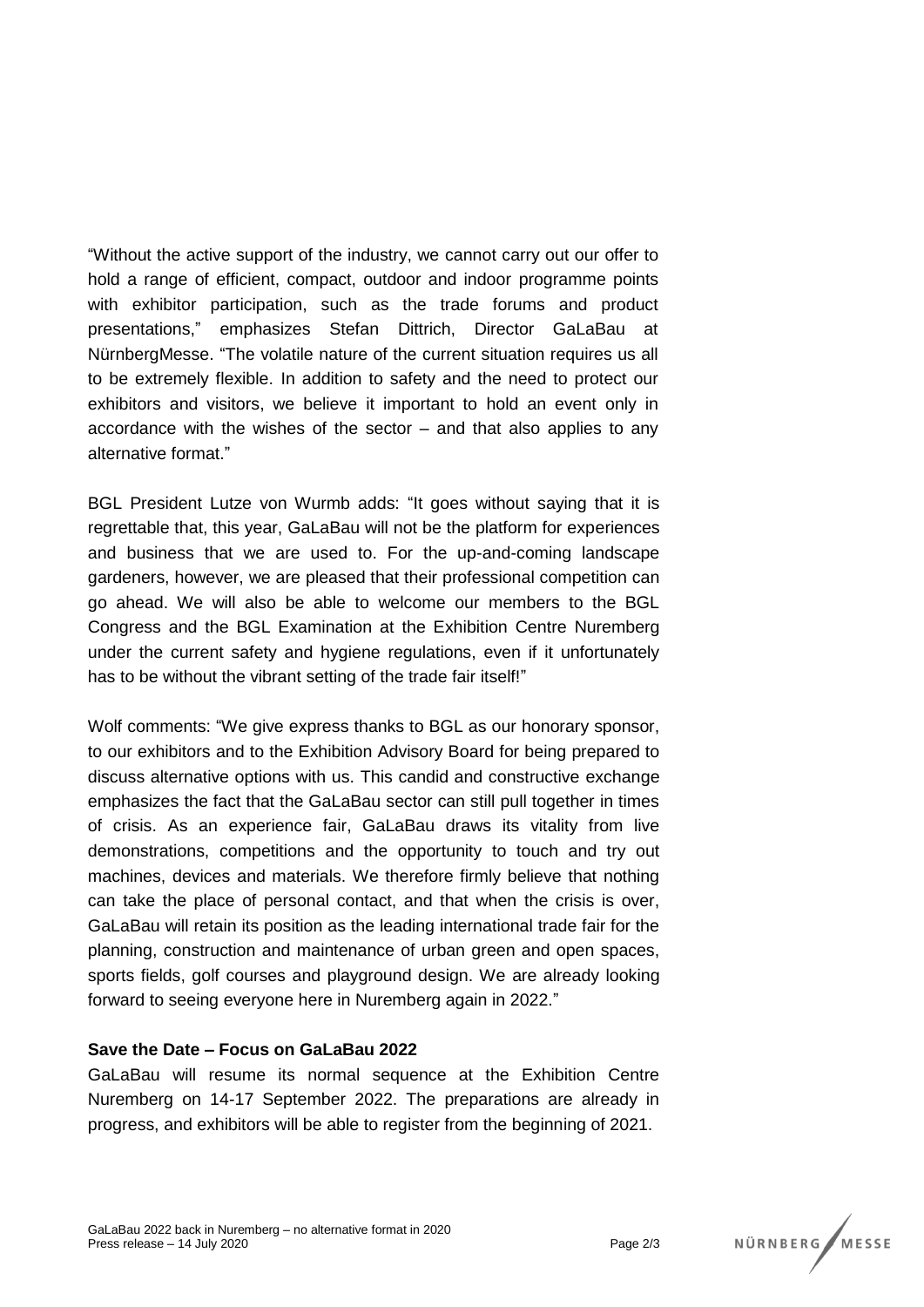"Without the active support of the industry, we cannot carry out our offer to hold a range of efficient, compact, outdoor and indoor programme points with exhibitor participation, such as the trade forums and product presentations," emphasizes Stefan Dittrich, Director GaLaBau at NürnbergMesse. "The volatile nature of the current situation requires us all to be extremely flexible. In addition to safety and the need to protect our exhibitors and visitors, we believe it important to hold an event only in accordance with the wishes of the sector – and that also applies to any alternative format."

BGL President Lutze von Wurmb adds: "It goes without saying that it is regrettable that, this year, GaLaBau will not be the platform for experiences and business that we are used to. For the up-and-coming landscape gardeners, however, we are pleased that their professional competition can go ahead. We will also be able to welcome our members to the BGL Congress and the BGL Examination at the Exhibition Centre Nuremberg under the current safety and hygiene regulations, even if it unfortunately has to be without the vibrant setting of the trade fair itself!"

Wolf comments: "We give express thanks to BGL as our honorary sponsor, to our exhibitors and to the Exhibition Advisory Board for being prepared to discuss alternative options with us. This candid and constructive exchange emphasizes the fact that the GaLaBau sector can still pull together in times of crisis. As an experience fair, GaLaBau draws its vitality from live demonstrations, competitions and the opportunity to touch and try out machines, devices and materials. We therefore firmly believe that nothing can take the place of personal contact, and that when the crisis is over, GaLaBau will retain its position as the leading international trade fair for the planning, construction and maintenance of urban green and open spaces, sports fields, golf courses and playground design. We are already looking forward to seeing everyone here in Nuremberg again in 2022."

### **Save the Date – Focus on GaLaBau 2022**

GaLaBau will resume its normal sequence at the Exhibition Centre Nuremberg on 14-17 September 2022. The preparations are already in progress, and exhibitors will be able to register from the beginning of 2021.